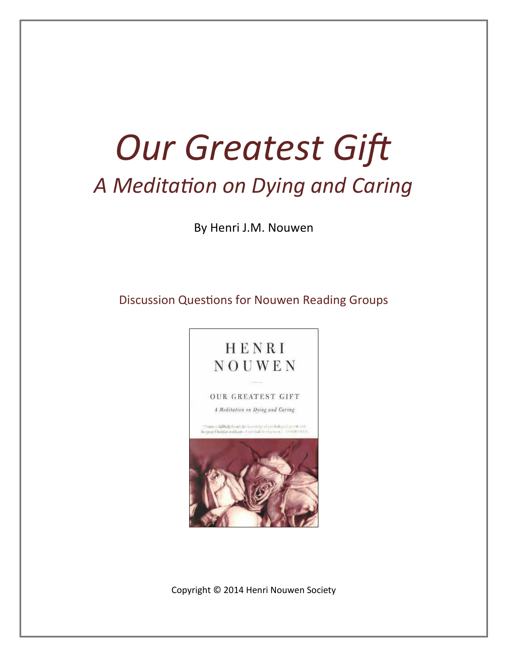# *Our Greatest Gift A Meditation on Dying and Caring*

By Henri J.M. Nouwen

Discussion Questions for Nouwen Reading Groups



Copyright © 2014 Henri Nouwen Society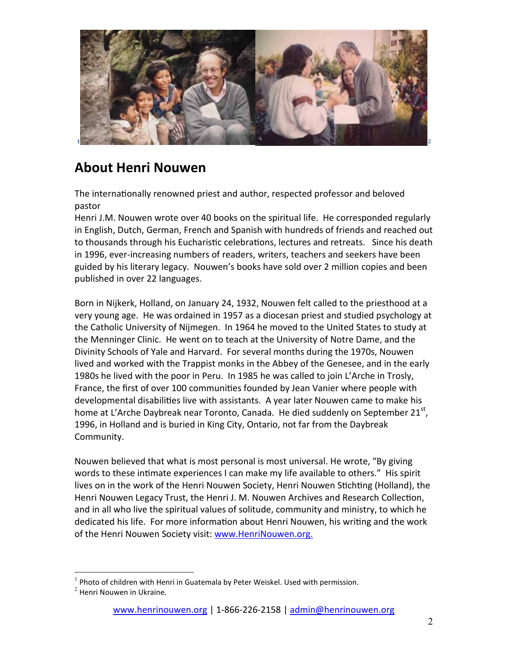

# **About Henri Nouwen**

The internationally renowned priest and author, respected professor and beloved pastor

Henri J.M. Nouwen wrote over 40 books on the spiritual life. He corresponded regularly in English, Dutch, German, French and Spanish with hundreds of friends and reached out to thousands through his Eucharistic celebrations, lectures and retreats. Since his death in 1996, ever-increasing numbers of readers, writers, teachers and seekers have been guided by his literary legacy. Nouwen's books have sold over 2 million copies and been published in over 22 languages.

Born in Nijkerk, Holland, on January 24, 1932, Nouwen felt called to the priesthood at a very young age. He was ordained in 1957 as a diocesan priest and studied psychology at the Catholic University of Nijmegen. In 1964 he moved to the United States to study at the Menninger Clinic. He went on to teach at the University of Notre Dame, and the Divinity Schools of Yale and Harvard. For several months during the 1970s, Nouwen lived and worked with the Trappist monks in the Abbey of the Genesee, and in the early 1980s he lived with the poor in Peru. In 1985 he was called to join L'Arche in Trosly, France, the first of over 100 communities founded by Jean Vanier where people with developmental disabilities live with assistants. A year later Nouwen came to make his home at L'Arche Daybreak near Toronto, Canada. He died suddenly on September 21<sup>st</sup>, 1996, in Holland and is buried in King City, Ontario, not far from the Daybreak Community.

Nouwen believed that what is most personal is most universal. He wrote, "By giving words to these intimate experiences I can make my life available to others." His spirit lives on in the work of the Henri Nouwen Society, Henri Nouwen Stichting (Holland), the Henri Nouwen Legacy Trust, the Henri J. M. Nouwen Archives and Research Collection, and in all who live the spiritual values of solitude, community and ministry, to which he dedicated his life. For more information about Henri Nouwen, his writing and the work of the Henri Nouwen Society visit: www.HenriNouwen.org.

 $1$  Photo of children with Henri in Guatemala by Peter Weiskel. Used with permission.

 $2$  Henri Nouwen in Ukraine.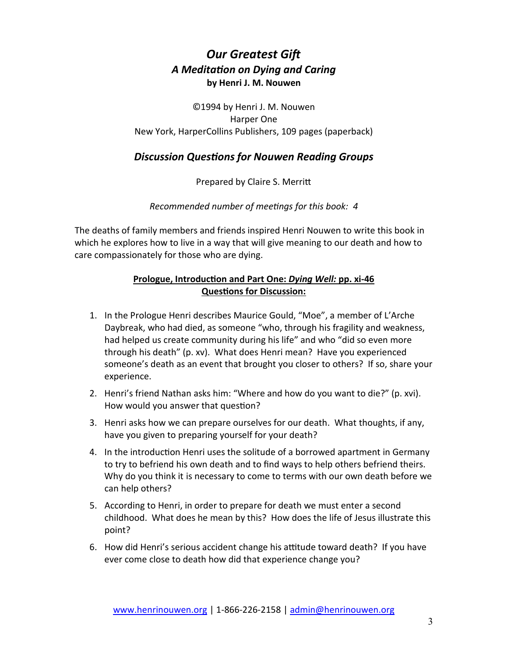# *Our Greatest Gift A Meditation on Dying and Caring* **by Henri J. M. Nouwen**

©1994 by Henri J. M. Nouwen Harper One New York, HarperCollins Publishers, 109 pages (paperback)

### *Discussion Questions for Nouwen Reading Groups*

Prepared by Claire S. Merritt

*Recommended number of meetings for this book: 4*

The deaths of family members and friends inspired Henri Nouwen to write this book in which he explores how to live in a way that will give meaning to our death and how to care compassionately for those who are dying.

#### **Prologue, Introduction and Part One:** *Dying Well:* **pp. xi-46 Questions for Discussion:**

- 1. In the Prologue Henri describes Maurice Gould, "Moe", a member of L'Arche Daybreak, who had died, as someone "who, through his fragility and weakness, had helped us create community during his life" and who "did so even more through his death" (p. xv). What does Henri mean? Have you experienced someone's death as an event that brought you closer to others? If so, share your experience.
- 2. Henri's friend Nathan asks him: "Where and how do you want to die?" (p. xvi). How would you answer that question?
- 3. Henri asks how we can prepare ourselves for our death. What thoughts, if any, have you given to preparing yourself for your death?
- 4. In the introduction Henri uses the solitude of a borrowed apartment in Germany to try to befriend his own death and to find ways to help others befriend theirs. Why do you think it is necessary to come to terms with our own death before we can help others?
- 5. According to Henri, in order to prepare for death we must enter a second childhood. What does he mean by this? How does the life of Jesus illustrate this point?
- 6. How did Henri's serious accident change his attitude toward death? If you have ever come close to death how did that experience change you?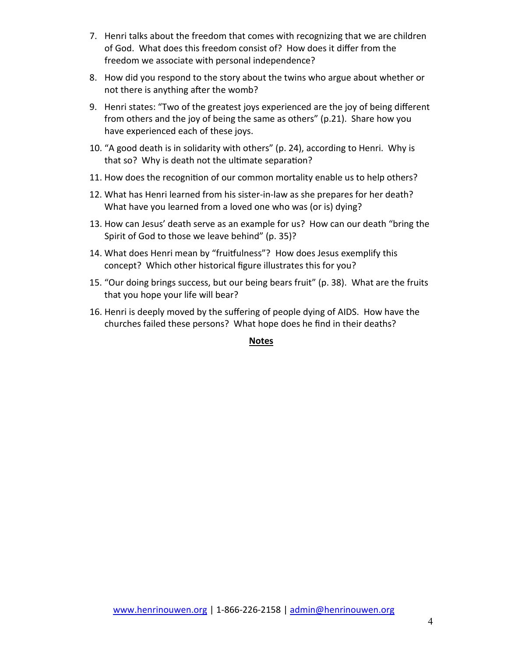- 7. Henri talks about the freedom that comes with recognizing that we are children of God. What does this freedom consist of? How does it differ from the freedom we associate with personal independence?
- 8. How did you respond to the story about the twins who argue about whether or not there is anything after the womb?
- 9. Henri states: "Two of the greatest joys experienced are the joy of being different from others and the joy of being the same as others" (p.21). Share how you have experienced each of these joys.
- 10. "A good death is in solidarity with others" (p. 24), according to Henri. Why is that so? Why is death not the ultimate separation?
- 11. How does the recognition of our common mortality enable us to help others?
- 12. What has Henri learned from his sister-in-law as she prepares for her death? What have you learned from a loved one who was (or is) dying?
- 13. How can Jesus' death serve as an example for us? How can our death "bring the Spirit of God to those we leave behind" (p. 35)?
- 14. What does Henri mean by "fruitfulness"? How does Jesus exemplify this concept? Which other historical figure illustrates this for you?
- 15. "Our doing brings success, but our being bears fruit" (p. 38). What are the fruits that you hope your life will bear?
- 16. Henri is deeply moved by the suffering of people dying of AIDS. How have the churches failed these persons? What hope does he find in their deaths?

#### **Notes**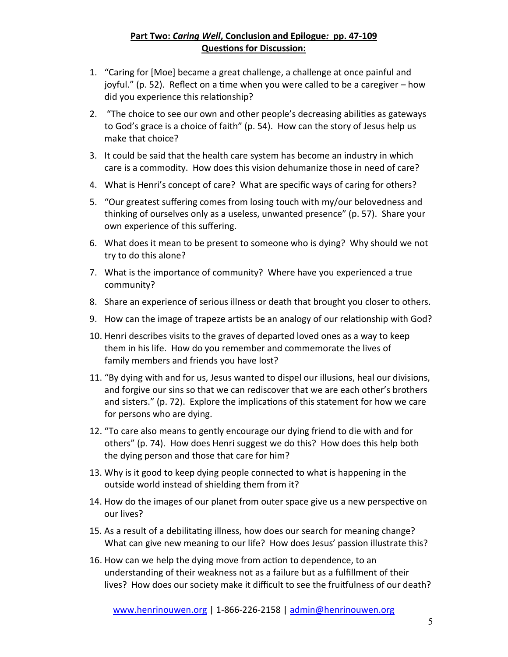#### **Part Two:** *Caring Well***, Conclusion and Epilogue***:* **pp. 47-109 Questions for Discussion:**

- 1. "Caring for [Moe] became a great challenge, a challenge at once painful and joyful." (p. 52). Reflect on a time when you were called to be a caregiver – how did you experience this relationship?
- 2. "The choice to see our own and other people's decreasing abilities as gateways to God's grace is a choice of faith" (p. 54). How can the story of Jesus help us make that choice?
- 3. It could be said that the health care system has become an industry in which care is a commodity. How does this vision dehumanize those in need of care?
- 4. What is Henri's concept of care? What are specific ways of caring for others?
- 5. "Our greatest suffering comes from losing touch with my/our belovedness and thinking of ourselves only as a useless, unwanted presence" (p. 57). Share your own experience of this suffering.
- 6. What does it mean to be present to someone who is dying? Why should we not try to do this alone?
- 7. What is the importance of community? Where have you experienced a true community?
- 8. Share an experience of serious illness or death that brought you closer to others.
- 9. How can the image of trapeze artists be an analogy of our relationship with God?
- 10. Henri describes visits to the graves of departed loved ones as a way to keep them in his life. How do you remember and commemorate the lives of family members and friends you have lost?
- 11. "By dying with and for us, Jesus wanted to dispel our illusions, heal our divisions, and forgive our sins so that we can rediscover that we are each other's brothers and sisters." (p. 72). Explore the implications of this statement for how we care for persons who are dying.
- 12. "To care also means to gently encourage our dying friend to die with and for others" (p. 74). How does Henri suggest we do this? How does this help both the dying person and those that care for him?
- 13. Why is it good to keep dying people connected to what is happening in the outside world instead of shielding them from it?
- 14. How do the images of our planet from outer space give us a new perspective on our lives?
- 15. As a result of a debilitating illness, how does our search for meaning change? What can give new meaning to our life? How does Jesus' passion illustrate this?
- 16. How can we help the dying move from action to dependence, to an understanding of their weakness not as a failure but as a fulfillment of their lives? How does our society make it difficult to see the fruitfulness of our death?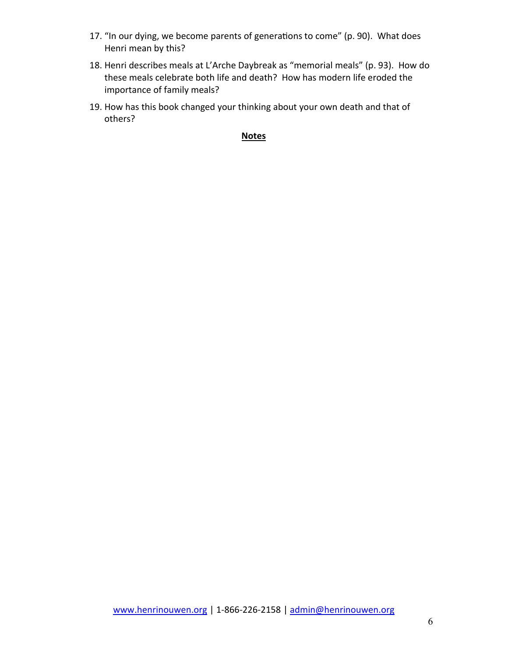- 17. "In our dying, we become parents of generations to come" (p. 90). What does Henri mean by this?
- 18. Henri describes meals at L'Arche Daybreak as "memorial meals" (p. 93). How do these meals celebrate both life and death? How has modern life eroded the importance of family meals?
- 19. How has this book changed your thinking about your own death and that of others?

#### **Notes**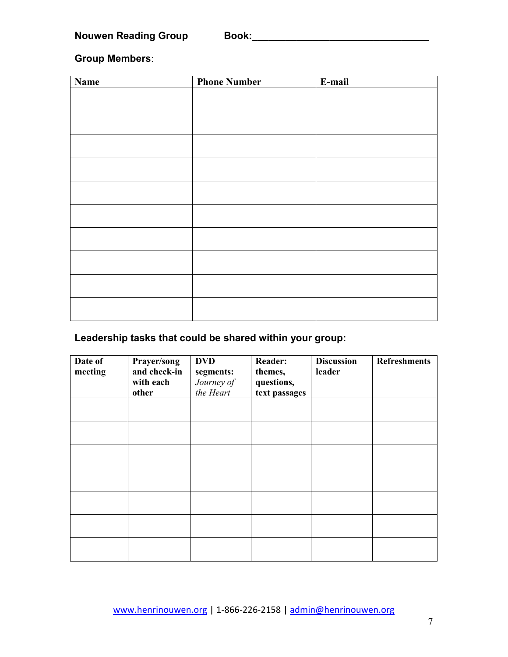**Nouwen Reading Group Book:\_\_\_\_\_\_\_\_\_\_\_\_\_\_\_\_\_\_\_\_\_\_\_\_\_\_\_\_\_\_\_\_**

**Group Members**:

| Name | <b>Phone Number</b> | E-mail |
|------|---------------------|--------|
|      |                     |        |
|      |                     |        |
|      |                     |        |
|      |                     |        |
|      |                     |        |
|      |                     |        |
|      |                     |        |
|      |                     |        |
|      |                     |        |
|      |                     |        |
|      |                     |        |
|      |                     |        |
|      |                     |        |
|      |                     |        |
|      |                     |        |
|      |                     |        |
|      |                     |        |
|      |                     |        |
|      |                     |        |

## **Leadership tasks that could be shared within your group:**

| Date of<br>meeting | Prayer/song<br>and check-in<br>with each<br>other | <b>DVD</b><br>segments:<br>Journey of<br>the Heart | <b>Reader:</b><br>themes,<br>questions,<br>text passages | <b>Discussion</b><br>leader | <b>Refreshments</b> |
|--------------------|---------------------------------------------------|----------------------------------------------------|----------------------------------------------------------|-----------------------------|---------------------|
|                    |                                                   |                                                    |                                                          |                             |                     |
|                    |                                                   |                                                    |                                                          |                             |                     |
|                    |                                                   |                                                    |                                                          |                             |                     |
|                    |                                                   |                                                    |                                                          |                             |                     |
|                    |                                                   |                                                    |                                                          |                             |                     |
|                    |                                                   |                                                    |                                                          |                             |                     |
|                    |                                                   |                                                    |                                                          |                             |                     |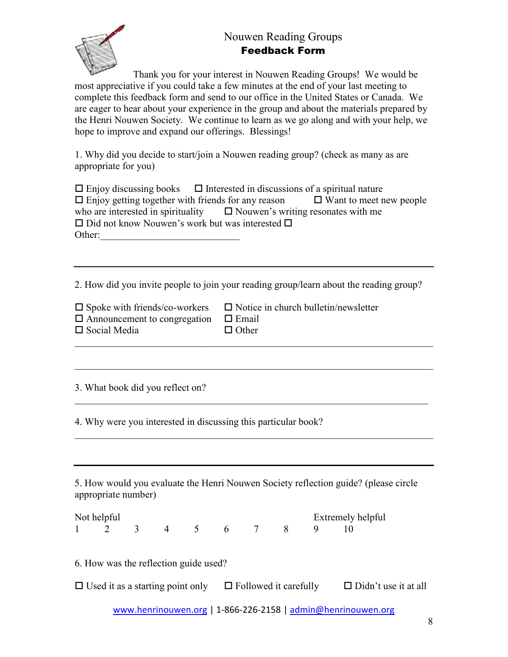## Nouwen Reading Groups Feedback Form



Thank you for your interest in Nouwen Reading Groups! We would be most appreciative if you could take a few minutes at the end of your last meeting to complete this feedback form and send to our office in the United States or Canada. We are eager to hear about your experience in the group and about the materials prepared by the Henri Nouwen Society. We continue to learn as we go along and with your help, we hope to improve and expand our offerings. Blessings!

1. Why did you decide to start/join a Nouwen reading group? (check as many as are appropriate for you)

| $\Box$ Enjoy discussing books $\Box$ Interested in discussions of a spiritual nature |                                                                                          |
|--------------------------------------------------------------------------------------|------------------------------------------------------------------------------------------|
|                                                                                      | $\Box$ Enjoy getting together with friends for any reason $\Box$ Want to meet new people |
| who are interested in spirituality $\square$ Nouwen's writing resonates with me      |                                                                                          |
| $\Box$ Did not know Nouwen's work but was interested $\Box$                          |                                                                                          |
| Other:                                                                               |                                                                                          |

2. How did you invite people to join your reading group/learn about the reading group?

 $\mathcal{L}_\mathcal{L}$  , and the contribution of the contribution of the contribution of the contribution of the contribution of the contribution of the contribution of the contribution of the contribution of the contribution of

 $\mathcal{L}_\mathcal{L}$  , and the contribution of the contribution of the contribution of the contribution of the contribution of the contribution of the contribution of the contribution of the contribution of the contribution of

\_\_\_\_\_\_\_\_\_\_\_\_\_\_\_\_\_\_\_\_\_\_\_\_\_\_\_\_\_\_\_\_\_\_\_\_\_\_\_\_\_\_\_\_\_\_\_\_\_\_\_\_\_\_\_\_\_\_\_\_\_\_\_\_\_\_\_\_\_\_\_

 $\mathcal{L}_\mathcal{L}$  , and the contribution of the contribution of the contribution of the contribution of the contribution of the contribution of the contribution of the contribution of the contribution of the contribution of

| $\square$ Spoke with friends/co-workers |  |
|-----------------------------------------|--|
| $\Box$ Announcement to congregation     |  |
| $\square$ Social Media                  |  |

 $\square$  Notice in church bulletin/newsletter  $\Pi$  Email

| — глиан         |
|-----------------|
| $\square$ Other |

3. What book did you reflect on?

4. Why were you interested in discussing this particular book?

5. How would you evaluate the Henri Nouwen Society reflection guide? (please circle appropriate number)

| Not helpful |  |  |                | Extremely helpful |  |  |          |  |  |
|-------------|--|--|----------------|-------------------|--|--|----------|--|--|
|             |  |  | $\overline{4}$ |                   |  |  | 7 8 9 10 |  |  |

6. How was the reflection guide used?

 $\Box$  Used it as a starting point only  $\Box$  Followed it carefully  $\Box$  Didn't use it at all

www.henrinouwen.org | 1-866-226-2158 | admin@henrinouwen.org